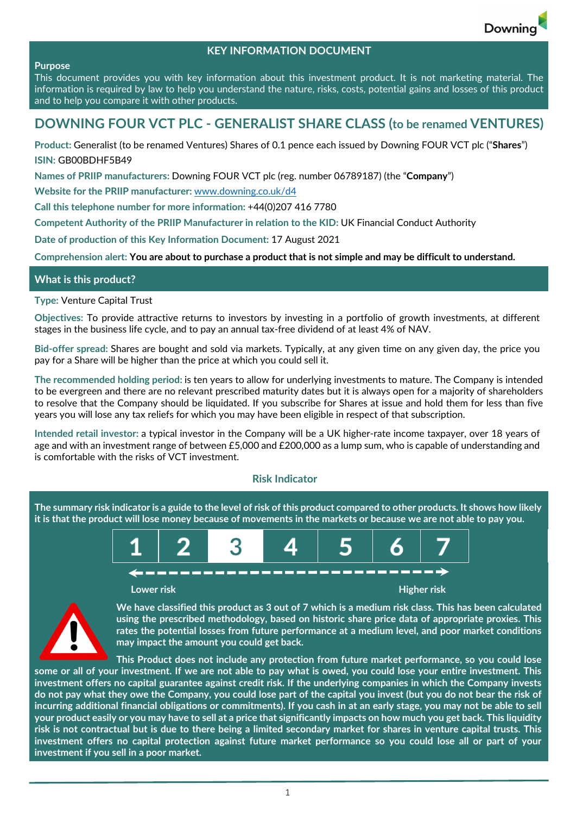

## **KEY INFORMATION DOCUMENT**

#### **Purpose**

This document provides you with key information about this investment product. It is not marketing material. The information is required by law to help you understand the nature, risks, costs, potential gains and losses of this product and to help you compare it with other products.

# **DOWNING FOUR VCT PLC ‐ GENERALIST SHARE CLASS (to be renamed VENTURES)**

**Product:** Generalist (to be renamed Ventures) Shares of 0.1 pence each issued by Downing FOUR VCT plc ("**Shares**") **ISIN:** GB00BDHF5B49

**Names of PRIIP manufacturers:** Downing FOUR VCT plc (reg. number 06789187) (the "**Company**")

**Website for the PRIIP manufacturer:** www.downing.co.uk/d4

**Call this telephone number for more information:** +44(0)207 416 7780

**Competent Authority of the PRIIP Manufacturer in relation to the KID:** UK Financial Conduct Authority

**Date of production of this Key Information Document:** 17 August 2021

Comprehension alert: You are about to purchase a product that is not simple and may be difficult to understand.

### **What is this product?**

**Type:** Venture Capital Trust

**Objectives:** To provide attractive returns to investors by investing in a portfolio of growth investments, at different stages in the business life cycle, and to pay an annual tax‐free dividend of at least 4% of NAV.

**Bid‐offer spread:** Shares are bought and sold via markets. Typically, at any given time on any given day, the price you pay for a Share will be higher than the price at which you could sell it.

**The recommended holding period:** is ten years to allow for underlying investments to mature. The Company is intended to be evergreen and there are no relevant prescribed maturity dates but it is always open for a majority of shareholders to resolve that the Company should be liquidated. If you subscribe for Shares at issue and hold them for less than five years you will lose any tax reliefs for which you may have been eligible in respect of that subscription.

**Intended retail investor:** a typical investor in the Company will be a UK higher‐rate income taxpayer, over 18 years of age and with an investment range of between £5,000 and £200,000 as a lump sum, who is capable of understanding and is comfortable with the risks of VCT investment.

#### **Risk Indicator**

The summary risk indicator is a guide to the level of risk of this product compared to other products. It shows how likely it is that the product will lose money because of movements in the markets or because we are not able to pay you.





We have classified this product as 3 out of 7 which is a medium risk class. This has been calculated **using the prescribed methodology, based on historic share price data of appropriate proxies. This rates the potential losses from future performance at a medium level, and poor market conditions may impact the amount you could get back.** 

**This Product does not include any protection from future market performance, so you could lose** some or all of your investment. If we are not able to pay what is owed, you could lose your entire investment. This investment offers no capital guarantee against credit risk. If the underlying companies in which the Company invests do not pay what they owe the Company, you could lose part of the capital you invest (but you do not bear the risk of incurring additional financial obligations or commitments). If you cash in at an early stage, you may not be able to sell your product easily or you may have to sell at a price that significantly impacts on how much you get back. This liquidity risk is not contractual but is due to there being a limited secondary market for shares in venture capital trusts. This investment offers no capital protection against future market performance so you could lose all or part of your **investment if you sell in a poor market.**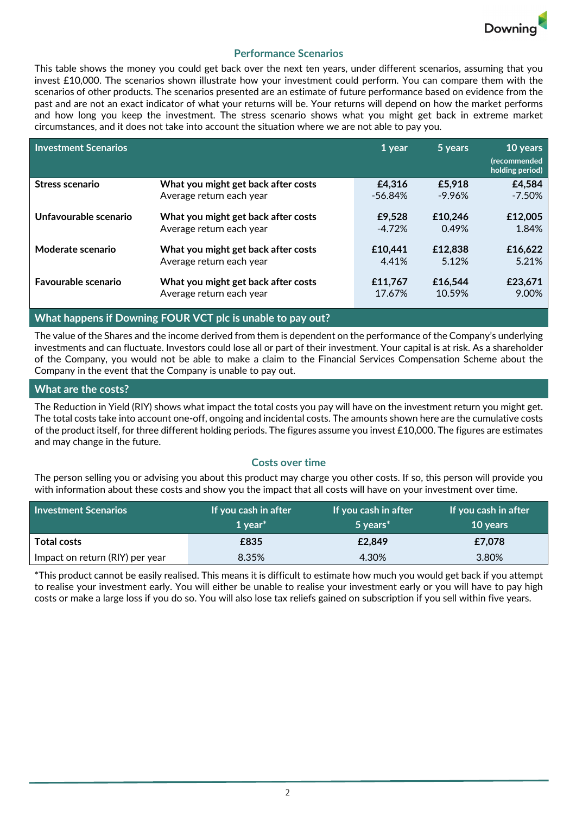

## **Performance Scenarios**

This table shows the money you could get back over the next ten years, under different scenarios, assuming that you invest £10,000. The scenarios shown illustrate how your investment could perform. You can compare them with the scenarios of other products. The scenarios presented are an estimate of future performance based on evidence from the past and are not an exact indicator of what your returns will be. Your returns will depend on how the market performs and how long you keep the investment. The stress scenario shows what you might get back in extreme market circumstances, and it does not take into account the situation where we are not able to pay you.

| <b>Investment Scenarios</b> |                                     | 1 year   | 5 years   | 10 years<br><i>(recommended</i><br>holding period) |
|-----------------------------|-------------------------------------|----------|-----------|----------------------------------------------------|
| Stress scenario             | What you might get back after costs | £4,316   | £5,918    | £4,584                                             |
|                             | Average return each year            | -56.84%  | $-9.96\%$ | $-7.50%$                                           |
| Unfavourable scenario       | What you might get back after costs | £9,528   | £10,246   | £12,005                                            |
|                             | Average return each year            | $-4.72%$ | 0.49%     | 1.84%                                              |
| Moderate scenario           | What you might get back after costs | £10,441  | £12,838   | £16,622                                            |
|                             | Average return each year            | 4.41%    | 5.12%     | 5.21%                                              |
| <b>Favourable scenario</b>  | What you might get back after costs | £11,767  | £16,544   | £23,671                                            |
|                             | Average return each year            | 17.67%   | 10.59%    | 9.00%                                              |

## **What happens if Downing FOUR VCT plc is unable to pay out?**

The value of the Shares and the income derived from them is dependent on the performance of the Company's underlying investments and can fluctuate. Investors could lose all or part of their investment. Your capital is at risk. As a shareholder of the Company, you would not be able to make a claim to the Financial Services Compensation Scheme about the Company in the event that the Company is unable to pay out.

### **What are the costs?**

The Reduction in Yield (RIY) shows what impact the total costs you pay will have on the investment return you might get. The total costs take into account one‐off, ongoing and incidental costs. The amounts shown here are the cumulative costs of the product itself, for three different holding periods. The figures assume you invest  $£10,000$ . The figures are estimates and may change in the future.

#### **Costs over time**

The person selling you or advising you about this product may charge you other costs. If so, this person will provide you with information about these costs and show you the impact that all costs will have on your investment over time.

| <b>Investment Scenarios</b>     | If you cash in after<br>1 vear $*$ | If you cash in after<br>5 years <sup>*</sup> | If you cash in after<br><b>10 years</b> |
|---------------------------------|------------------------------------|----------------------------------------------|-----------------------------------------|
| <b>Total costs</b>              | £835                               | £2,849                                       | £7,078                                  |
| Impact on return (RIY) per year | 8.35%                              | 4.30%                                        | 3.80%                                   |

\*This product cannot be easily realised. This means it is difficult to estimate how much you would get back if you attempt to realise your investment early. You will either be unable to realise your investment early or you will have to pay high costs or make a large loss if you do so. You will also lose tax reliefs gained on subscription if you sell within five years.